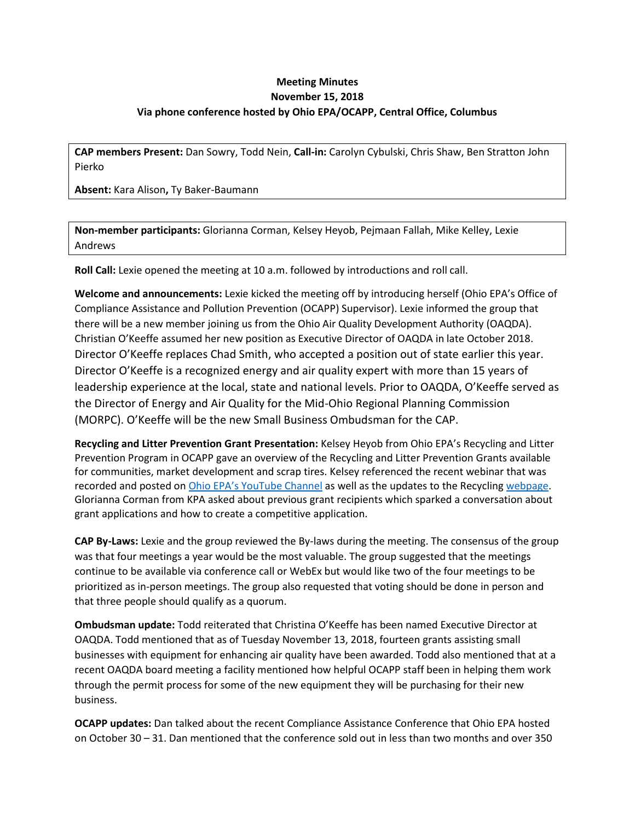## **Meeting Minutes November 15, 2018 Via phone conference hosted by Ohio EPA/OCAPP, Central Office, Columbus**

**CAP members Present:** Dan Sowry, Todd Nein, **Call-in:** Carolyn Cybulski, Chris Shaw, Ben Stratton John Pierko

**Absent:** Kara Alison**,** Ty Baker-Baumann

**Non-member participants:** Glorianna Corman, Kelsey Heyob, Pejmaan Fallah, Mike Kelley, Lexie Andrews

**Roll Call:** Lexie opened the meeting at 10 a.m. followed by introductions and roll call.

**Welcome and announcements:** Lexie kicked the meeting off by introducing herself (Ohio EPA's Office of Compliance Assistance and Pollution Prevention (OCAPP) Supervisor). Lexie informed the group that there will be a new member joining us from the Ohio Air Quality Development Authority (OAQDA). Christian O'Keeffe assumed her new position as Executive Director of OAQDA in late October 2018. Director O'Keeffe replaces Chad Smith, who accepted a position out of state earlier this year. Director O'Keeffe is a recognized energy and air quality expert with more than 15 years of leadership experience at the local, state and national levels. Prior to OAQDA, O'Keeffe served as the Director of Energy and Air Quality for the Mid-Ohio Regional Planning Commission (MORPC). O'Keeffe will be the new Small Business Ombudsman for the CAP.

**Recycling and Litter Prevention Grant Presentation:** Kelsey Heyob from Ohio EPA's Recycling and Litter Prevention Program in OCAPP gave an overview of the Recycling and Litter Prevention Grants available for communities, market development and scrap tires. Kelsey referenced the recent webinar that was recorded and posted on [Ohio EPA's YouTube Channel](https://www.youtube.com/watch?v=wiX1Qkr-yqU) as well as the updates to the Recycling [webpage.](https://epa.ohio.gov/ocapp/recycling#164885249-grants) Glorianna Corman from KPA asked about previous grant recipients which sparked a conversation about grant applications and how to create a competitive application.

**CAP By-Laws:** Lexie and the group reviewed the By-laws during the meeting. The consensus of the group was that four meetings a year would be the most valuable. The group suggested that the meetings continue to be available via conference call or WebEx but would like two of the four meetings to be prioritized as in-person meetings. The group also requested that voting should be done in person and that three people should qualify as a quorum.

**Ombudsman update:** Todd reiterated that Christina O'Keeffe has been named Executive Director at OAQDA. Todd mentioned that as of Tuesday November 13, 2018, fourteen grants assisting small businesses with equipment for enhancing air quality have been awarded. Todd also mentioned that at a recent OAQDA board meeting a facility mentioned how helpful OCAPP staff been in helping them work through the permit process for some of the new equipment they will be purchasing for their new business.

**OCAPP updates:** Dan talked about the recent Compliance Assistance Conference that Ohio EPA hosted on October 30 – 31. Dan mentioned that the conference sold out in less than two months and over 350